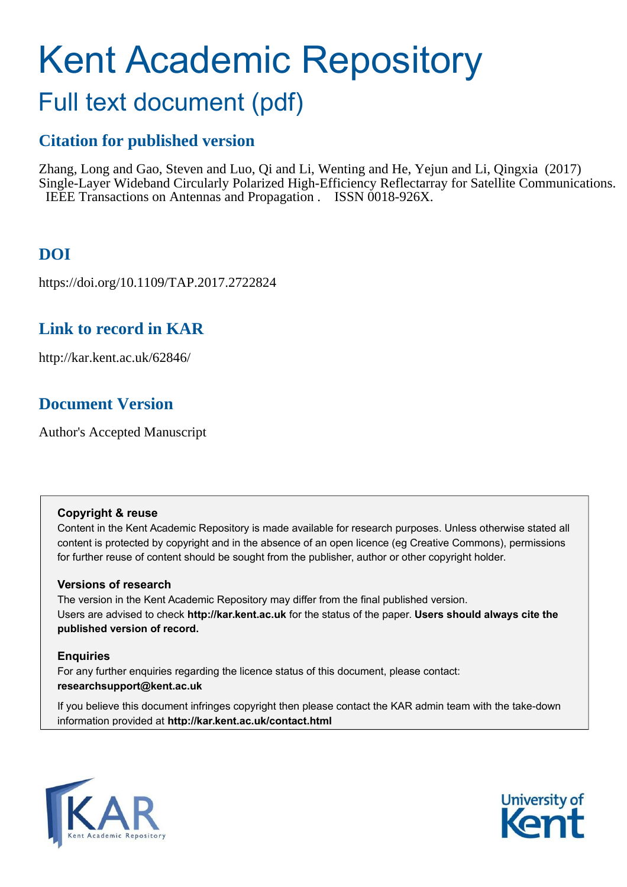# Kent Academic Repository

# Full text document (pdf)

## **Citation for published version**

Zhang, Long and Gao, Steven and Luo, Qi and Li, Wenting and He, Yejun and Li, Qingxia (2017) Single-Layer Wideband Circularly Polarized High-Efficiency Reflectarray for Satellite Communications. IEEE Transactions on Antennas and Propagation . ISSN 0018-926X.

# **DOI**

https://doi.org/10.1109/TAP.2017.2722824

### **Link to record in KAR**

http://kar.kent.ac.uk/62846/

### **Document Version**

Author's Accepted Manuscript

#### **Copyright & reuse**

Content in the Kent Academic Repository is made available for research purposes. Unless otherwise stated all content is protected by copyright and in the absence of an open licence (eg Creative Commons), permissions for further reuse of content should be sought from the publisher, author or other copyright holder.

#### **Versions of research**

The version in the Kent Academic Repository may differ from the final published version. Users are advised to check **http://kar.kent.ac.uk** for the status of the paper. **Users should always cite the published version of record.**

#### **Enquiries**

For any further enquiries regarding the licence status of this document, please contact: **researchsupport@kent.ac.uk**

If you believe this document infringes copyright then please contact the KAR admin team with the take-down information provided at **http://kar.kent.ac.uk/contact.html**



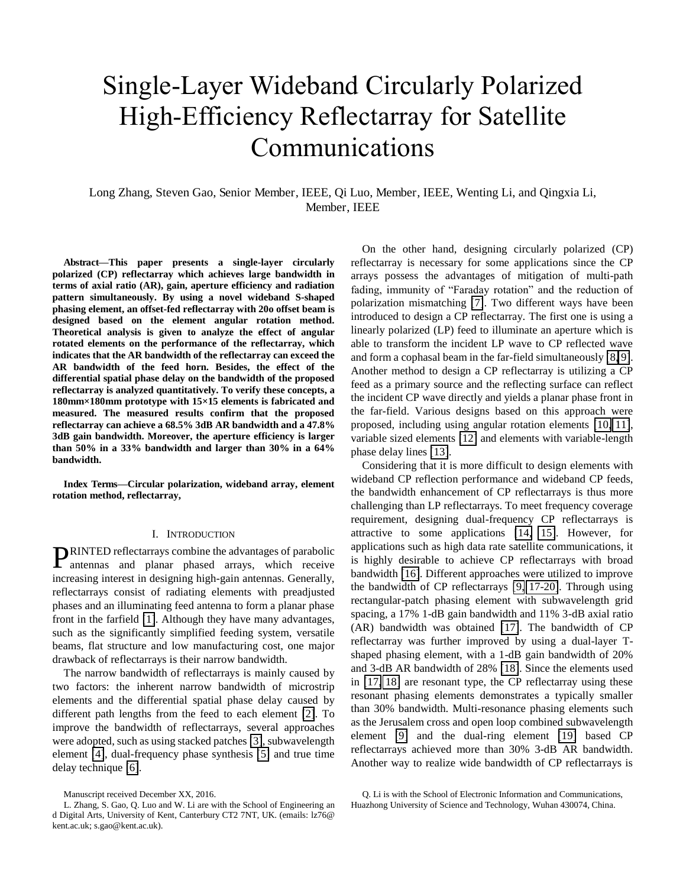# Single-Layer Wideband Circularly Polarized High-Efficiency Reflectarray for Satellite Communications

Long Zhang, Steven Gao, Senior Member, IEEE, Qi Luo, Member, IEEE, Wenting Li, and Qingxia Li, Member, IEEE

**Abstract—This paper presents a single-layer circularly polarized (CP) reflectarray which achieves large bandwidth in terms of axial ratio (AR), gain, aperture efficiency and radiation pattern simultaneously. By using a novel wideband S-shaped phasing element, an offset-fed reflectarray with 20o offset beam is designed based on the element angular rotation method. Theoretical analysis is given to analyze the effect of angular rotated elements on the performance of the reflectarray, which indicates that the AR bandwidth of the reflectarray can exceed the AR bandwidth of the feed horn. Besides, the effect of the differential spatial phase delay on the bandwidth of the proposed reflectarray is analyzed quantitatively. To verify these concepts, a 180mm×180mm prototype with 15×15 elements is fabricated and measured. The measured results confirm that the proposed reflectarray can achieve a 68.5% 3dB AR bandwidth and a 47.8% 3dB gain bandwidth. Moreover, the aperture efficiency is larger than 50% in a 33% bandwidth and larger than 30% in a 64% bandwidth.** 

**Index Terms—Circular polarization, wideband array, element rotation method, reflectarray,** 

#### I. INTRODUCTION

RINTED reflectarrays combine the advantages of parabolic **PRINTED** reflectarrays combine the advantages of parabolic antennas and planar phased arrays, which receive increasing interest in designing high-gain antennas. Generally, reflectarrays consist of radiating elements with preadjusted phases and an illuminating feed antenna to form a planar phase front in the farfield [\[1\]](#page-7-0). Although they have many advantages, such as the significantly simplified feeding system, versatile beams, flat structure and low manufacturing cost, one major drawback of reflectarrays is their narrow bandwidth.

The narrow bandwidth of reflectarrays is mainly caused by two factors: the inherent narrow bandwidth of microstrip elements and the differential spatial phase delay caused by different path lengths from the feed to each element [\[2\]](#page-7-1). To improve the bandwidth of reflectarrays, several approaches were adopted, such as using stacked patches [\[3\]](#page-8-0), subwavelength element [\[4\]](#page-8-1), dual-frequency phase synthesis [\[5\]](#page-8-2) and true time delay technique [\[6\]](#page-8-3).

On the other hand, designing circularly polarized (CP) reflectarray is necessary for some applications since the CP arrays possess the advantages of mitigation of multi-path fading, immunity of "Faraday rotation" and the reduction of polarization mismatching [\[7\]](#page-8-4). Two different ways have been introduced to design a CP reflectarray. The first one is using a linearly polarized (LP) feed to illuminate an aperture which is able to transform the incident LP wave to CP reflected wave and form a cophasal beam in the far-field simultaneously [\[8,](#page-8-5) [9\]](#page-8-6). Another method to design a CP reflectarray is utilizing a CP feed as a primary source and the reflecting surface can reflect the incident CP wave directly and yields a planar phase front in the far-field. Various designs based on this approach were proposed, including using angular rotation elements [\[10,](#page-8-7) [11\]](#page-8-8), variable sized elements [\[12\]](#page-8-9) and elements with variable-length phase delay lines [\[13\]](#page-8-10).

<span id="page-1-1"></span>Considering that it is more difficult to design elements with wideband CP reflection performance and wideband CP feeds, the bandwidth enhancement of CP reflectarrays is thus more challenging than LP reflectarrays. To meet frequency coverage requirement, designing dual-frequency CP reflectarrays is attractive to some applications [\[14,](#page-8-11) [15\]](#page-8-12). However, for applications such as high data rate satellite communications, it is highly desirable to achieve CP reflectarrays with broad bandwidth [\[16\]](#page-8-13). Different approaches were utilized to improve the bandwidth of CP reflectarrays [\[9,](#page-8-6) [17-20\]](#page-8-14). Through using rectangular-patch phasing element with subwavelength grid spacing, a 17% 1-dB gain bandwidth and 11% 3-dB axial ratio (AR) bandwidth was obtained [\[17\]](#page-8-14). The bandwidth of CP reflectarray was further improved by using a dual-layer Tshaped phasing element, with a 1-dB gain bandwidth of 20% and 3-dB AR bandwidth of 28% [\[18\]](#page-8-15). Since the elements used in [\[17,](#page-8-14) [18\]](#page-8-15) are resonant type, the CP reflectarray using these resonant phasing elements demonstrates a typically smaller than 30% bandwidth. Multi-resonance phasing elements such as the Jerusalem cross and open loop combined subwavelength element [\[9\]](#page-8-6) and the dual-ring element [\[19\]](#page-8-16) based CP reflectarrays achieved more than 30% 3-dB AR bandwidth. Another way to realize wide bandwidth of CP reflectarrays is

Manuscript received December XX, 2016.

<span id="page-1-0"></span>L. Zhang, S. Gao, Q. Luo and W. Li are with the School of Engineering an d Digital Arts, University of Kent, Canterbury CT2 7NT, UK. (emails: lz76@ kent.ac.uk; s.gao@kent.ac.uk).

Q. Li is with the School of Electronic Information and Communications, Huazhong University of Science and Technology, Wuhan 430074, China.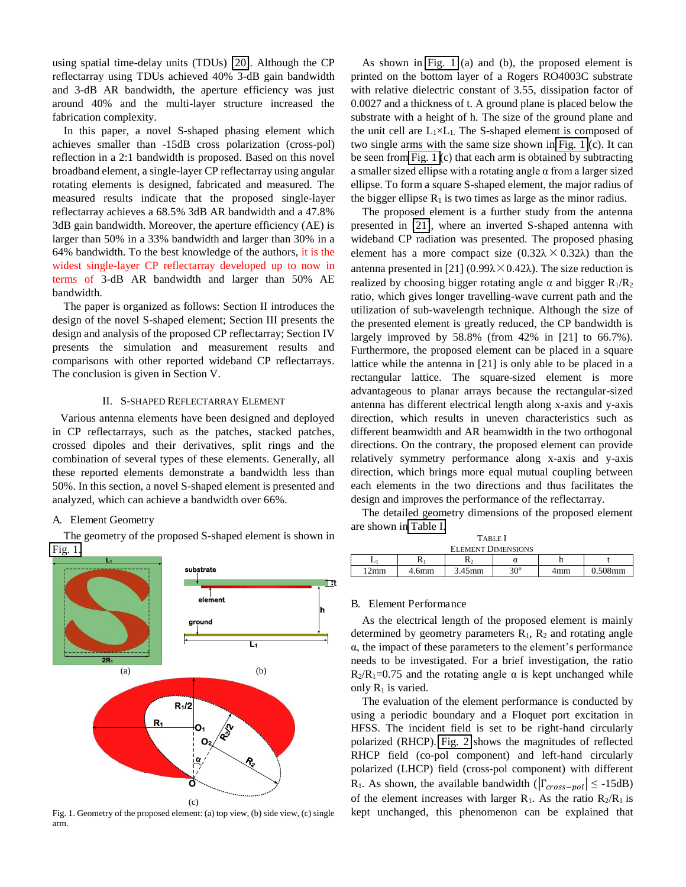using spatial time-delay units (TDUs) [\[20\]](#page-8-17). Although the CP reflectarray using TDUs achieved 40% 3-dB gain bandwidth and 3-dB AR bandwidth, the aperture efficiency was just around 40% and the multi-layer structure increased the fabrication complexity.

In this paper, a novel S-shaped phasing element which achieves smaller than -15dB cross polarization (cross-pol) reflection in a 2:1 bandwidth is proposed. Based on this novel broadband element, a single-layer CP reflectarray using angular rotating elements is designed, fabricated and measured. The measured results indicate that the proposed single-layer reflectarray achieves a 68.5% 3dB AR bandwidth and a 47.8% 3dB gain bandwidth. Moreover, the aperture efficiency (AE) is larger than 50% in a 33% bandwidth and larger than 30% in a 64% bandwidth. To the best knowledge of the authors, it is the widest single-layer CP reflectarray developed up to now in terms of 3-dB AR bandwidth and larger than 50% AE bandwidth.

<span id="page-2-0"></span>The paper is organized as follows: Section II introduces the design of the novel S-shaped element; Section III presents the design and analysis of the proposed CP reflectarray; Section IV presents the simulation and measurement results and comparisons with other reported wideband CP reflectarrays. The conclusion is given in Section V.

#### II. S-SHAPED REFLECTARRAY ELEMENT

Various antenna elements have been designed and deployed in CP reflectarrays, such as the patches, stacked patches, crossed dipoles and their derivatives, split rings and the combination of several types of these elements. Generally, all these reported elements demonstrate a bandwidth less than 50%. In this section, a novel S-shaped element is presented and analyzed, which can achieve a bandwidth over 66%.

#### A. Element Geometry

The geometry of the proposed S-shaped element is shown in [Fig. 1.](#page-1-0)



<span id="page-2-1"></span>Fig. 1. Geometry of the proposed element: (a) top view, (b) side view, (c) single arm.

As shown in [Fig. 1](#page-1-0) (a) and (b), the proposed element is printed on the bottom layer of a Rogers RO4003C substrate with relative dielectric constant of 3.55, dissipation factor of 0.0027 and a thickness of t. A ground plane is placed below the substrate with a height of h. The size of the ground plane and the unit cell are  $L_1 \times L_1$ . The S-shaped element is composed of two single arms with the same size shown in [Fig. 1](#page-1-0) (c). It can be seen from [Fig. 1 \(](#page-1-0)c) that each arm is obtained by subtracting a smaller sized ellipse with a rotating angle  $\alpha$  from a larger sized ellipse. To form a square S-shaped element, the major radius of the bigger ellipse  $R_1$  is two times as large as the minor radius.

The proposed element is a further study from the antenna presented in [\[21\]](#page-8-18), where an inverted S-shaped antenna with wideband CP radiation was presented. The proposed phasing element has a more compact size  $(0.32\lambda \times 0.32\lambda)$  than the antenna presented in [21] (0.99 $\lambda \times 0.42\lambda$ ). The size reduction is realized by choosing bigger rotating angle  $\alpha$  and bigger  $R_1/R_2$ ratio, which gives longer travelling-wave current path and the utilization of sub-wavelength technique. Although the size of the presented element is greatly reduced, the CP bandwidth is largely improved by 58.8% (from 42% in [21] to 66.7%). Furthermore, the proposed element can be placed in a square lattice while the antenna in [21] is only able to be placed in a rectangular lattice. The square-sized element is more advantageous to planar arrays because the rectangular-sized antenna has different electrical length along x-axis and y-axis direction, which results in uneven characteristics such as different beamwidth and AR beamwidth in the two orthogonal directions. On the contrary, the proposed element can provide relatively symmetry performance along x-axis and y-axis direction, which brings more equal mutual coupling between each elements in the two directions and thus facilitates the design and improves the performance of the reflectarray.

<span id="page-2-2"></span>The detailed geometry dimensions of the proposed element are shown in [Table I.](#page-1-1)

| <b>TABLE</b> I            |       |           |              |     |            |  |  |  |  |
|---------------------------|-------|-----------|--------------|-----|------------|--|--|--|--|
| <b>ELEMENT DIMENSIONS</b> |       |           |              |     |            |  |  |  |  |
|                           |       | ĸ٥        | α            |     |            |  |  |  |  |
| $12 \text{mm}$            | 4.6mm | $3.45$ mm | $30^{\circ}$ | 4mm | $0.508$ mm |  |  |  |  |

#### B. Element Performance

As the electrical length of the proposed element is mainly determined by geometry parameters  $R_1$ ,  $R_2$  and rotating angle  $\alpha$ , the impact of these parameters to the element's performance needs to be investigated. For a brief investigation, the ratio  $R_2/R_1=0.75$  and the rotating angle  $\alpha$  is kept unchanged while only  $R_1$  is varied.

The evaluation of the element performance is conducted by using a periodic boundary and a Floquet port excitation in HFSS. The incident field is set to be right-hand circularly polarized (RHCP). [Fig. 2](#page-2-0) shows the magnitudes of reflected RHCP field (co-pol component) and left-hand circularly polarized (LHCP) field (cross-pol component) with different R<sub>1</sub>. As shown, the available bandwidth ( $|\Gamma_{cross-pol}| \leq -15dB$ ) of the element increases with larger  $R_1$ . As the ratio  $R_2/R_1$  is kept unchanged, this phenomenon can be explained that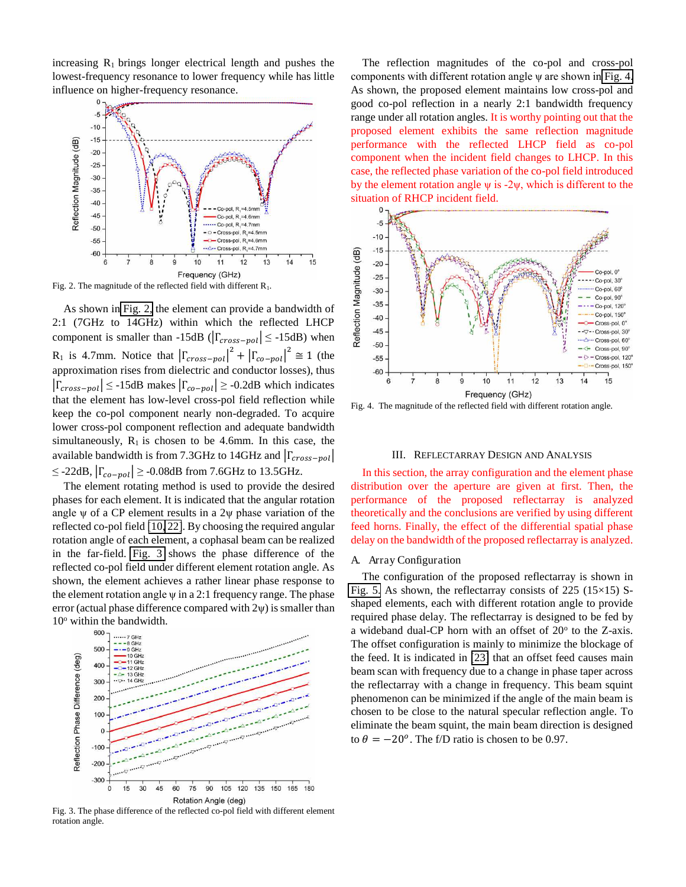increasing  $R_1$  brings longer electrical length and pushes the lowest-frequency resonance to lower frequency while has little influence on higher-frequency resonance.



Fig. 2. The magnitude of the reflected field with different  $R_1$ .

As shown in [Fig. 2,](#page-2-0) the element can provide a bandwidth of 2:1 (7GHz to 14GHz) within which the reflected LHCP component is smaller than -15dB ( $|\Gamma_{cross-pol}| \leq$  -15dB) when R<sub>1</sub> is 4.7mm. Notice that  $|\Gamma_{cross-pol}|^2 + |\Gamma_{co-pol}|^2 \approx 1$  (the approximation rises from dielectric and conductor losses), thus  $|\Gamma_{cross-pol}| \leq -15dB$  makes  $|\Gamma_{co-pol}| \geq -0.2dB$  which indicates that the element has low-level cross-pol field reflection while keep the co-pol component nearly non-degraded. To acquire lower cross-pol component reflection and adequate bandwidth simultaneously,  $R_1$  is chosen to be 4.6mm. In this case, the available bandwidth is from 7.3GHz to 14GHz and  $|\Gamma_{cross-pol}|$ ≤ -22dB,  $|\Gamma_{co-pol}|$  ≥ -0.08dB from 7.6GHz to 13.5GHz.

<span id="page-3-0"></span>The element rotating method is used to provide the desired phases for each element. It is indicated that the angular rotation angle  $\nu$  of a CP element results in a 2 $\nu$  phase variation of the reflected co-pol field [\[10,](#page-8-7) [22\]](#page-8-19). By choosing the required angular rotation angle of each element, a cophasal beam can be realized in the far-field. [Fig. 3](#page-2-1) shows the phase difference of the reflected co-pol field under different element rotation angle. As shown, the element achieves a rather linear phase response to the element rotation angle  $\psi$  in a 2:1 frequency range. The phase error (actual phase difference compared with  $2\psi$ ) is smaller than 10<sup>o</sup> within the bandwidth.



<span id="page-3-1"></span>Fig. 3. The phase difference of the reflected co-pol field with different element rotation angle.

The reflection magnitudes of the co-pol and cross-pol components with different rotation angle  $\psi$  are shown in [Fig. 4.](#page-2-2) As shown, the proposed element maintains low cross-pol and good co-pol reflection in a nearly 2:1 bandwidth frequency range under all rotation angles. It is worthy pointing out that the proposed element exhibits the same reflection magnitude performance with the reflected LHCP field as co-pol component when the incident field changes to LHCP. In this case, the reflected phase variation of the co-pol field introduced by the element rotation angle  $\psi$  is -2 $\psi$ , which is different to the situation of RHCP incident field.



Fig. 4. The magnitude of the reflected field with different rotation angle.

#### III. REFLECTARRAY DESIGN AND ANALYSIS

In this section, the array configuration and the element phase distribution over the aperture are given at first. Then, the performance of the proposed reflectarray is analyzed theoretically and the conclusions are verified by using different feed horns. Finally, the effect of the differential spatial phase delay on the bandwidth of the proposed reflectarray is analyzed.

#### A. Array Configuration

The configuration of the proposed reflectarray is shown in [Fig. 5.](#page-3-0) As shown, the reflectarray consists of  $225$  ( $15\times15$ ) Sshaped elements, each with different rotation angle to provide required phase delay. The reflectarray is designed to be fed by a wideband dual-CP horn with an offset of 20° to the Z-axis. The offset configuration is mainly to minimize the blockage of the feed. It is indicated in [\[23\]](#page-8-20) that an offset feed causes main beam scan with frequency due to a change in phase taper across the reflectarray with a change in frequency. This beam squint phenomenon can be minimized if the angle of the main beam is chosen to be close to the natural specular reflection angle. To eliminate the beam squint, the main beam direction is designed to  $\theta = -20^{\circ}$ . The f/D ratio is chosen to be 0.97.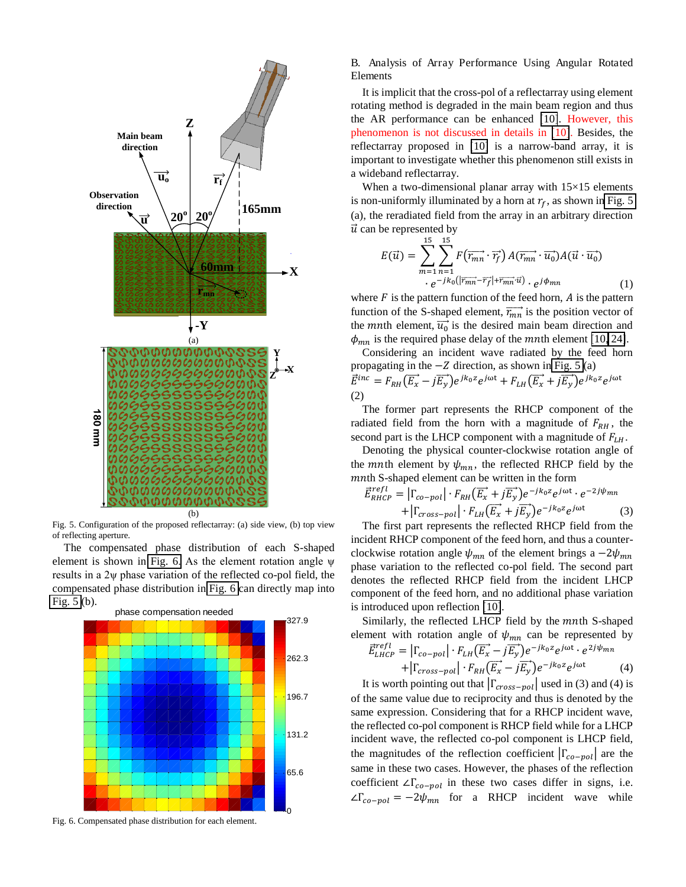

Fig. 5. Configuration of the proposed reflectarray: (a) side view, (b) top view of reflecting aperture.

The compensated phase distribution of each S-shaped element is shown in [Fig. 6](#page-3-1). As the element rotation angle  $\psi$ results in a  $2\nu$  phase variation of the reflected co-pol field, the compensated phase distribution in [Fig. 6](#page-3-1) can directly map into [Fig. 5](#page-3-0) (b).



Fig. 6. Compensated phase distribution for each element.

B. Analysis of Array Performance Using Angular Rotated Elements

It is implicit that the cross-pol of a reflectarray using element rotating method is degraded in the main beam region and thus the AR performance can be enhanced [\[10\]](#page-8-7). However, this phenomenon is not discussed in details in [\[10\]](#page-8-7). Besides, the reflectarray proposed in [\[10\]](#page-8-7) is a narrow-band array, it is important to investigate whether this phenomenon still exists in a wideband reflectarray.

When a two-dimensional planar array with  $15\times15$  elements is non-uniformly illuminated by a horn at  $r_f$ , as shown in Fig. 5 (a), the reradiated field from the array in an arbitrary direction  $\vec{u}$  can be represented by

$$
E(\vec{u}) = \sum_{m=1}^{15} \sum_{n=1}^{15} F(\overrightarrow{r_{mn}} \cdot \overrightarrow{r_f}) A(\overrightarrow{r_{mn}} \cdot \overrightarrow{u_0}) A(\vec{u} \cdot \overrightarrow{u_0})
$$
  
.  $e^{-jk_0(|\overrightarrow{r_{mn}} - \overrightarrow{r_f}| + \overrightarrow{r_{mn}} \cdot \overrightarrow{u})} \cdot e^{j\phi_{mn}}$  (1)

where  $F$  is the pattern function of the feed horn,  $\vec{A}$  is the pattern function of the S-shaped element,  $\overrightarrow{r_{mn}}$  is the position vector of the *mn*th element,  $\overrightarrow{u_0}$  is the desired main beam direction and  $\phi_{mn}$  is the required phase delay of the *mn*th element [\[10,](#page-8-7) [24\]](#page-8-21).

Considering an incident wave radiated by the feed horn propagating in the  $-Z$  direction, as shown in [Fig. 5](#page-3-0) (a)  $E^{inc} = F_{RH}(E_x - jE_y)e^{jk_0z}e^{j\omega t} + F_{LH}(E_x + jE_y)e^{jk_0z}e^{j\omega t}$ (2)

The former part represents the RHCP component of the radiated field from the horn with a magnitude of  $F_{RH}$ , the second part is the LHCP component with a magnitude of  $F_{LH}$ .

<span id="page-4-0"></span>Denoting the physical counter-clockwise rotation angle of the *mn*th element by  $\psi_{mn}$ , the reflected RHCP field by the  $m$ nth S-shaped element can be written in the form

$$
\vec{E}_{RHCP}^{refl} = \left| \Gamma_{co-pol} \right| \cdot F_{RH} (\overrightarrow{E_x} + j\overrightarrow{E_y}) e^{-jk_0 z} e^{j\omega t} \cdot e^{-2j\psi_{mn}} + \left| \Gamma_{cross-pol} \right| \cdot F_{LH} (\overrightarrow{E_x} + j\overrightarrow{E_y}) e^{-jk_0 z} e^{j\omega t}
$$
\n(3)

The first part represents the reflected RHCP field from the incident RHCP component of the feed horn, and thus a counterclockwise rotation angle  $\psi_{mn}$  of the element brings a  $-2\psi_{mn}$ phase variation to the reflected co-pol field. The second part denotes the reflected RHCP field from the incident LHCP component of the feed horn, and no additional phase variation is introduced upon reflection [\[10\]](#page-8-7).

Similarly, the reflected LHCP field by the mnth S-shaped element with rotation angle of  $\psi_{mn}$  can be represented by

$$
\vec{E}_{LHCP}^{refl} = |\Gamma_{co-pol}| \cdot F_{LH} (\vec{E_x} - j\vec{E_y}) e^{-jk_0 z} e^{j\omega t} \cdot e^{2j\psi_{mn}} + |\Gamma_{cross-pol}| \cdot F_{RH} (\vec{E_x} - j\vec{E_y}) e^{-jk_0 z} e^{j\omega t}
$$
(4)

It is worth pointing out that  $|\Gamma_{cross-pol}|$  used in (3) and (4) is of the same value due to reciprocity and thus is denoted by the same expression. Considering that for a RHCP incident wave, the reflected co-pol component is RHCP field while for a LHCP incident wave, the reflected co-pol component is LHCP field, the magnitudes of the reflection coefficient  $|\Gamma_{co-pol}|$  are the same in these two cases. However, the phases of the reflection coefficient  $\angle \Gamma_{co-pol}$  in these two cases differ in signs, i.e.  $\angle \Gamma_{co-pol} = -2\psi_{mn}$  for a RHCP incident wave while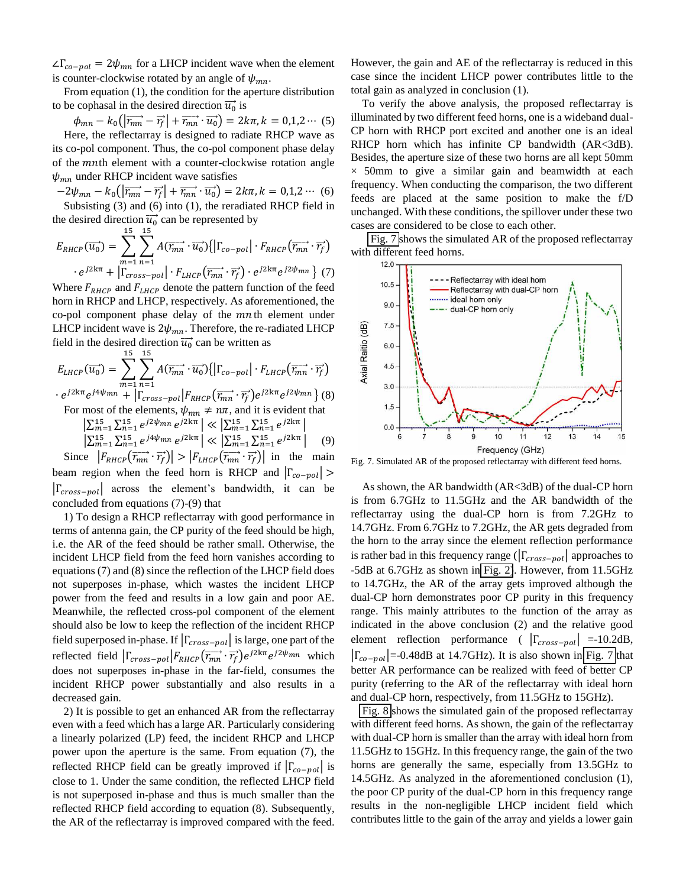$\Delta \Gamma_{co-pol} = 2\psi_{mn}$  for a LHCP incident wave when the element is counter-clockwise rotated by an angle of  $\psi_{mn}$ .

From equation (1), the condition for the aperture distribution to be cophasal in the desired direction  $\overrightarrow{u_0}$  is

 $\phi_{mn} - k_0 \left( \left| \overrightarrow{r_{mn}} - \overrightarrow{r_f} \right| + \overrightarrow{r_{mn}} \cdot \overrightarrow{u_0} \right) = 2k\pi, k = 0, 1, 2 \cdots (5)$ Here, the reflectarray is designed to radiate RHCP wave as its co-pol component. Thus, the co-pol component phase delay of the *mn*th element with a counter-clockwise rotation angle  $\psi_{mn}$  under RHCP incident wave satisfies

$$
-2\psi_{mn} - k_0\left(\left|\overrightarrow{r_{mn}} - \overrightarrow{r_f}\right| + \overrightarrow{r_{mn}} \cdot \overrightarrow{u_0}\right) = 2k\pi, k = 0, 1, 2 \cdots (6)
$$
  
Subsisting (3) and (6) into (1), the reradiated RHCP field in

the desired direction  $\overrightarrow{u_0}$  can be represented by

$$
E_{RHCP}(\overrightarrow{u_0}) = \sum_{m=1}^{15} \sum_{n=1}^{15} A(\overrightarrow{r_{mn}} \cdot \overrightarrow{u_0}) \{ | \Gamma_{co-pol} | \cdot F_{RHCP}(\overrightarrow{r_{mn}} \cdot \overrightarrow{r_f})
$$

$$
\cdot e^{j2k\pi} + \left| \Gamma_{cross-pol} \right| \cdot F_{LHCP}(\overrightarrow{r_{mn}} \cdot \overrightarrow{r_f}) \cdot e^{j2k\pi} e^{j2\psi_{mn}} \} (7)
$$

<span id="page-5-0"></span>Where  $F_{R H C P}$  and  $F_{L H C P}$  denote the pattern function of the feed horn in RHCP and LHCP, respectively. As aforementioned, the co-pol component phase delay of the  $mn$ th element under LHCP incident wave is  $2\psi_{mn}$ . Therefore, the re-radiated LHCP field in the desired direction  $\overrightarrow{u_0}$  can be written as

$$
E_{LHCP}(\overrightarrow{u_0}) = \sum_{m=1}^{15} \sum_{n=1}^{15} A(\overrightarrow{r_{mn}} \cdot \overrightarrow{u_0}) \{ \left| \Gamma_{co-pol} \right| \cdot F_{LHCP}(\overrightarrow{r_{mn}} \cdot \overrightarrow{r_f})
$$
  
·  $e^{j2k\pi} e^{j4\psi_{mn}} + \left| \Gamma_{cross-pol} \right| F_{RHCP}(\overrightarrow{r_{mn}} \cdot \overrightarrow{r_f}) e^{j2k\pi} e^{j2\psi_{mn}} \} (8)$ 

For most of the elements,  $\psi_{mn} \neq n\pi$ , and it is evident that

$$
\left| \sum_{m=1}^{15} \sum_{n=1}^{15} e^{j2\psi_{mn}} e^{j2k\pi} \right| \ll \left| \sum_{m=1}^{15} \sum_{n=1}^{15} e^{j2k\pi} \right|
$$
  

$$
\left| \sum_{m=1}^{15} \sum_{n=1}^{15} e^{j4\psi_{mn}} e^{j2k\pi} \right| \ll \left| \sum_{m=1}^{15} \sum_{n=1}^{15} e^{j2k\pi} \right| \tag{9}
$$

Since  $|F_{RHCP}(\overrightarrow{r_{mn}} \cdot \overrightarrow{r_f})| > |F_{LHCP}(\overrightarrow{r_{mn}} \cdot \overrightarrow{r_f})|$  in the main beam region when the feed horn is RHCP and  $|\Gamma_{co-pol}| >$  $|\Gamma_{cross-pol}|$  across the element's bandwidth, it can be concluded from equations (7)-(9) that

1) To design a RHCP reflectarray with good performance in terms of antenna gain, the CP purity of the feed should be high, i.e. the AR of the feed should be rather small. Otherwise, the incident LHCP field from the feed horn vanishes according to equations (7) and (8) since the reflection of the LHCP field does not superposes in-phase, which wastes the incident LHCP power from the feed and results in a low gain and poor AE. Meanwhile, the reflected cross-pol component of the element should also be low to keep the reflection of the incident RHCP field superposed in-phase. If  $|\Gamma_{cross-pol}|$  is large, one part of the reflected field  $\left|\Gamma_{cross-pol}\right| F_{RHCP}(\overrightarrow{r_{mn}} \cdot \overrightarrow{r_f}) e^{j2k\pi} e^{j2\psi_{mn}}$  which does not superposes in-phase in the far-field, consumes the incident RHCP power substantially and also results in a decreased gain.

<span id="page-5-1"></span>2) It is possible to get an enhanced AR from the reflectarray even with a feed which has a large AR. Particularly considering a linearly polarized (LP) feed, the incident RHCP and LHCP power upon the aperture is the same. From equation (7), the reflected RHCP field can be greatly improved if  $|\Gamma_{co-pol}|$  is close to 1. Under the same condition, the reflected LHCP field is not superposed in-phase and thus is much smaller than the reflected RHCP field according to equation (8). Subsequently, the AR of the reflectarray is improved compared with the feed.

However, the gain and AE of the reflectarray is reduced in this case since the incident LHCP power contributes little to the total gain as analyzed in conclusion (1).

To verify the above analysis, the proposed reflectarray is illuminated by two different feed horns, one is a wideband dual-CP horn with RHCP port excited and another one is an ideal RHCP horn which has infinite CP bandwidth (AR<3dB). Besides, the aperture size of these two horns are all kept 50mm  $\times$  50mm to give a similar gain and beamwidth at each frequency. When conducting the comparison, the two different feeds are placed at the same position to make the f/D unchanged. With these conditions, the spillover under these two cases are considered to be close to each other.

 [Fig. 7](#page-4-0) shows the simulated AR of the proposed reflectarray with different feed horns.



Fig. 7. Simulated AR of the proposed reflectarray with different feed horns.

As shown, the AR bandwidth (AR<3dB) of the dual-CP horn is from 6.7GHz to 11.5GHz and the AR bandwidth of the reflectarray using the dual-CP horn is from 7.2GHz to 14.7GHz. From 6.7GHz to 7.2GHz, the AR gets degraded from the horn to the array since the element reflection performance is rather bad in this frequency range ( $|\Gamma_{cross-pol}|$  approaches to -5dB at 6.7GHz as shown in [Fig. 2\)](#page-2-0). However, from 11.5GHz to 14.7GHz, the AR of the array gets improved although the dual-CP horn demonstrates poor CP purity in this frequency range. This mainly attributes to the function of the array as indicated in the above conclusion (2) and the relative good element reflection performance (  $|\Gamma_{cross-pol}| = -10.2dB$ ,  $|\Gamma_{co-pol}|$ =-0.48dB at 14.7GHz). It is also shown in [Fig. 7](#page-4-0) that better AR performance can be realized with feed of better CP purity (referring to the AR of the reflectarray with ideal horn and dual-CP horn, respectively, from 11.5GHz to 15GHz).

[Fig. 8](#page-5-0) shows the simulated gain of the proposed reflectarray with different feed horns. As shown, the gain of the reflectarray with dual-CP horn is smaller than the array with ideal horn from 11.5GHz to 15GHz. In this frequency range, the gain of the two horns are generally the same, especially from 13.5GHz to 14.5GHz. As analyzed in the aforementioned conclusion (1), the poor CP purity of the dual-CP horn in this frequency range results in the non-negligible LHCP incident field which contributes little to the gain of the array and yields a lower gain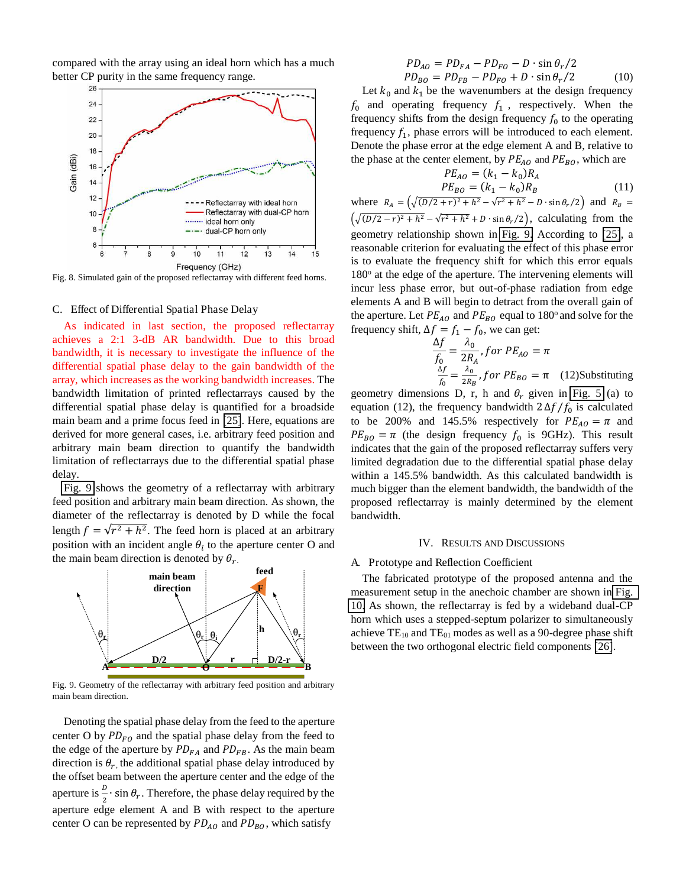

compared with the array using an ideal horn which has a much better CP purity in the same frequency range.

<span id="page-6-0"></span>Fig. 8. Simulated gain of the proposed reflectarray with different feed horns.

#### C. Effect of Differential Spatial Phase Delay

As indicated in last section, the proposed reflectarray achieves a 2:1 3-dB AR bandwidth. Due to this broad bandwidth, it is necessary to investigate the influence of the differential spatial phase delay to the gain bandwidth of the array, which increases as the working bandwidth increases. The bandwidth limitation of printed reflectarrays caused by the differential spatial phase delay is quantified for a broadside main beam and a prime focus feed in [\[25\]](#page-8-22). Here, equations are derived for more general cases, i.e. arbitrary feed position and arbitrary main beam direction to quantify the bandwidth limitation of reflectarrays due to the differential spatial phase delay.

[Fig. 9](#page-5-1) shows the geometry of a reflectarray with arbitrary feed position and arbitrary main beam direction. As shown, the diameter of the reflectarray is denoted by D while the focal length  $f = \sqrt{r^2 + h^2}$ . The feed horn is placed at an arbitrary position with an incident angle  $\theta_i$  to the aperture center O and the main beam direction is denoted by  $\theta_{r}$ .

<span id="page-6-1"></span>

Fig. 9. Geometry of the reflectarray with arbitrary feed position and arbitrary main beam direction.

Denoting the spatial phase delay from the feed to the aperture center O by  $PD_{FO}$  and the spatial phase delay from the feed to the edge of the aperture by  $PD_{FA}$  and  $PD_{FB}$ . As the main beam direction is  $\theta_r$ , the additional spatial phase delay introduced by the offset beam between the aperture center and the edge of the aperture is  $\frac{b}{2} \cdot \sin \theta_r$ . Therefore, the phase delay required by the aperture edge element A and B with respect to the aperture center O can be represented by  $PD_{AO}$  and  $PD_{BO}$ , which satisfy

$$
PD_{AO} = PD_{FA} - PD_{FO} - D \cdot \sin \theta_r / 2
$$
  

$$
PD_{BO} = PD_{FB} - PD_{FO} + D \cdot \sin \theta_r / 2
$$
 (10)

Let  $k_0$  and  $k_1$  be the wavenumbers at the design frequency  $f_0$  and operating frequency  $f_1$ , respectively. When the frequency shifts from the design frequency  $f_0$  to the operating frequency  $f_1$ , phase errors will be introduced to each element. Denote the phase error at the edge element A and B, relative to the phase at the center element, by  $PE_{AO}$  and  $PE_{BO}$ , which are

$$
PE_{AO} = (k_1 - k_0)R_A
$$
  

$$
PE_{BO} = (k_1 - k_0)R_B
$$
 (11)

<span id="page-6-2"></span>where  $R_A = (\sqrt{(D/2 + r)^2 + h^2} - \sqrt{r^2 + h^2} - D \cdot \sin \theta_r/2)$  and  $R_B =$  $(\sqrt{(D/2-r)^2 + h^2} - \sqrt{r^2 + h^2} + D \cdot \sin \theta_r/2)$ , calculating from the geometry relationship shown in [Fig. 9.](#page-5-1) According to [\[25\]](#page-8-22), a reasonable criterion for evaluating the effect of this phase error is to evaluate the frequency shift for which this error equals 180° at the edge of the aperture. The intervening elements will incur less phase error, but out-of-phase radiation from edge elements A and B will begin to detract from the overall gain of the aperture. Let  $PE_{AO}$  and  $PE_{BO}$  equal to 180<sup>o</sup> and solve for the frequency shift,  $\Delta f = f_1 - f_0$ , we can get:

$$
\frac{\Delta f}{f_0} = \frac{\lambda_0}{2R_A}, \text{ for } PE_{AO} = \pi
$$
\n
$$
\frac{\Delta f}{f_0} = \frac{\lambda_0}{2R_B}, \text{ for } PE_{BO} = \pi \quad (12) \text{Substituting}
$$

geometry dimensions D, r, h and  $\theta_r$  given in [Fig. 5](#page-3-0) (a) to equation (12), the frequency bandwidth  $2 \Delta f / f_0$  is calculated to be 200% and 145.5% respectively for  $PE_{AO} = \pi$  and  $PE_{BO} = \pi$  (the design frequency  $f_0$  is 9GHz). This result indicates that the gain of the proposed reflectarray suffers very limited degradation due to the differential spatial phase delay within a 145.5% bandwidth. As this calculated bandwidth is much bigger than the element bandwidth, the bandwidth of the proposed reflectarray is mainly determined by the element bandwidth.

#### IV. RESULTS AND DISCUSSIONS

#### A. Prototype and Reflection Coefficient

<span id="page-6-3"></span>The fabricated prototype of the proposed antenna and the measurement setup in the anechoic chamber are shown in [Fig.](#page-6-0)  [10.](#page-6-0) As shown, the reflectarray is fed by a wideband dual-CP horn which uses a stepped-septum polarizer to simultaneously achieve  $TE_{10}$  and  $TE_{01}$  modes as well as a 90-degree phase shift between the two orthogonal electric field components [\[26\]](#page-8-23).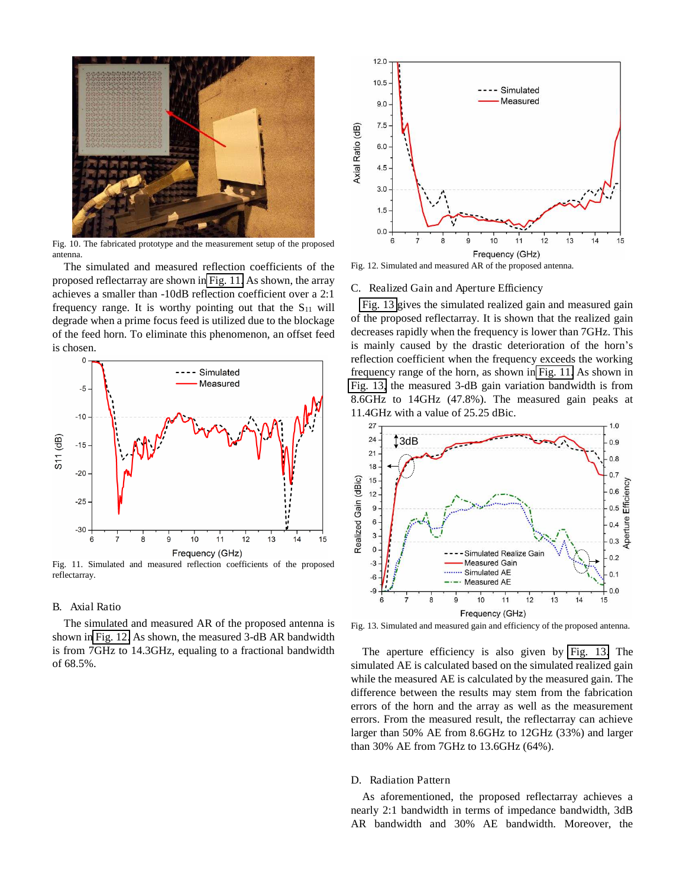

Fig. 10. The fabricated prototype and the measurement setup of the proposed antenna.

The simulated and measured reflection coefficients of the proposed reflectarray are shown in [Fig. 11.](#page-6-1) As shown, the array achieves a smaller than -10dB reflection coefficient over a 2:1 frequency range. It is worthy pointing out that the  $S_{11}$  will degrade when a prime focus feed is utilized due to the blockage of the feed horn. To eliminate this phenomenon, an offset feed is chosen.



Fig. 11. Simulated and measured reflection coefficients of the proposed reflectarray.

#### B. Axial Ratio

<span id="page-7-2"></span>The simulated and measured AR of the proposed antenna is shown in [Fig. 12.](#page-6-2) As shown, the measured 3-dB AR bandwidth is from 7GHz to 14.3GHz, equaling to a fractional bandwidth of 68.5%.



<span id="page-7-3"></span>Fig. 12. Simulated and measured AR of the proposed antenna.

#### C. Realized Gain and Aperture Efficiency

[Fig. 13](#page-6-3) gives the simulated realized gain and measured gain of the proposed reflectarray. It is shown that the realized gain decreases rapidly when the frequency is lower than 7GHz. This is mainly caused by the drastic deterioration of the horn's reflection coefficient when the frequency exceeds the working frequency range of the horn, as shown in [Fig. 11.](#page-6-1) As shown in [Fig. 13,](#page-6-3) the measured 3-dB gain variation bandwidth is from 8.6GHz to 14GHz (47.8%). The measured gain peaks at 11.4GHz with a value of 25.25 dBic.



Fig. 13. Simulated and measured gain and efficiency of the proposed antenna.

The aperture efficiency is also given by [Fig. 13.](#page-6-3) The simulated AE is calculated based on the simulated realized gain while the measured AE is calculated by the measured gain. The difference between the results may stem from the fabrication errors of the horn and the array as well as the measurement errors. From the measured result, the reflectarray can achieve larger than 50% AE from 8.6GHz to 12GHz (33%) and larger than 30% AE from 7GHz to 13.6GHz (64%).

#### <span id="page-7-1"></span><span id="page-7-0"></span>D. Radiation Pattern

As aforementioned, the proposed reflectarray achieves a nearly 2:1 bandwidth in terms of impedance bandwidth, 3dB AR bandwidth and 30% AE bandwidth. Moreover, the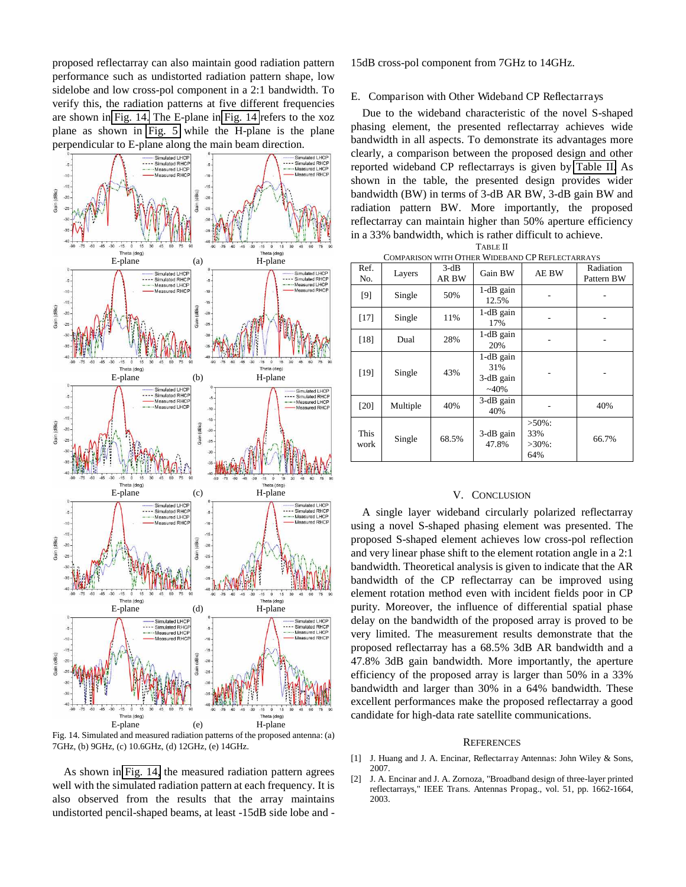<span id="page-8-1"></span><span id="page-8-0"></span>proposed reflectarray can also maintain good radiation pattern performance such as undistorted radiation pattern shape, low sidelobe and low cross-pol component in a 2:1 bandwidth. To verify this, the radiation patterns at five different frequencies are shown in [Fig. 14.](#page-7-2) The E-plane in [Fig. 14](#page-7-2) refers to the xoz plane as shown in [Fig. 5](#page-3-0) while the H-plane is the plane perpendicular to E-plane along the main beam direction.

<span id="page-8-12"></span><span id="page-8-11"></span><span id="page-8-10"></span><span id="page-8-9"></span><span id="page-8-8"></span><span id="page-8-7"></span><span id="page-8-6"></span><span id="page-8-5"></span><span id="page-8-4"></span><span id="page-8-3"></span><span id="page-8-2"></span>

<span id="page-8-22"></span><span id="page-8-21"></span><span id="page-8-20"></span><span id="page-8-19"></span><span id="page-8-18"></span><span id="page-8-17"></span><span id="page-8-16"></span><span id="page-8-15"></span><span id="page-8-14"></span><span id="page-8-13"></span>Fig. 14. Simulated and measured radiation patterns of the proposed antenna: (a) 7GHz, (b) 9GHz, (c) 10.6GHz, (d) 12GHz, (e) 14GHz.

<span id="page-8-23"></span>As shown in [Fig. 14,](#page-7-2) the measured radiation pattern agrees well with the simulated radiation pattern at each frequency. It is also observed from the results that the array maintains undistorted pencil-shaped beams, at least -15dB side lobe and -

15dB cross-pol component from 7GHz to 14GHz.

#### E. Comparison with Other Wideband CP Reflectarrays

Due to the wideband characteristic of the novel S-shaped phasing element, the presented reflectarray achieves wide bandwidth in all aspects. To demonstrate its advantages more clearly, a comparison between the proposed design and other reported wideband CP reflectarrays is given by [Table II.](#page-7-3) As shown in the table, the presented design provides wider bandwidth (BW) in terms of 3-dB AR BW, 3-dB gain BW and radiation pattern BW. More importantly, the proposed reflectarray can maintain higher than 50% aperture efficiency in a 33% bandwidth, which is rather difficult to achieve.

| COMPARISON WITH OTHER WIDEBAND CP REFLECTARRAYS |          |                 |                                            |                                      |                         |  |  |  |  |
|-------------------------------------------------|----------|-----------------|--------------------------------------------|--------------------------------------|-------------------------|--|--|--|--|
| Ref.<br>No.                                     | Layers   | $3-dB$<br>AR BW | Gain BW                                    | AE BW                                | Radiation<br>Pattern BW |  |  |  |  |
| $[9]$                                           | Single   | 50%             | $1-dB$ gain<br>12.5%                       |                                      |                         |  |  |  |  |
| $[17]$                                          | Single   | 11%             | $1-dB$ gain<br>17%                         |                                      |                         |  |  |  |  |
| $[18]$                                          | Dual     | 28%             | $1-dB$ gain<br>20%                         |                                      |                         |  |  |  |  |
| [19]                                            | Single   | 43%             | $1-dB$ gain<br>31%<br>3-dB gain<br>$~10\%$ |                                      |                         |  |  |  |  |
| $[20]$                                          | Multiple | 40%             | 3-dB gain<br>40%                           |                                      | 40%                     |  |  |  |  |
| <b>This</b><br>work                             | Single   | 68.5%           | $3-dB$ gain<br>47.8%                       | $>50\%$ :<br>33%<br>$>30\%$ :<br>64% | 66.7%                   |  |  |  |  |

#### V. CONCLUSION

A single layer wideband circularly polarized reflectarray using a novel S-shaped phasing element was presented. The proposed S-shaped element achieves low cross-pol reflection and very linear phase shift to the element rotation angle in a 2:1 bandwidth. Theoretical analysis is given to indicate that the AR bandwidth of the CP reflectarray can be improved using element rotation method even with incident fields poor in CP purity. Moreover, the influence of differential spatial phase delay on the bandwidth of the proposed array is proved to be very limited. The measurement results demonstrate that the proposed reflectarray has a 68.5% 3dB AR bandwidth and a 47.8% 3dB gain bandwidth. More importantly, the aperture efficiency of the proposed array is larger than 50% in a 33% bandwidth and larger than 30% in a 64% bandwidth. These excellent performances make the proposed reflectarray a good candidate for high-data rate satellite communications.

#### **REFERENCES**

- [1] J. Huang and J. A. Encinar, Reflectarray Antennas: John Wiley & Sons, 2007.
- [2] J. A. Encinar and J. A. Zornoza, "Broadband design of three-layer printed reflectarrays," IEEE Trans. Antennas Propag., vol. 51, pp. 1662-1664, 2003.